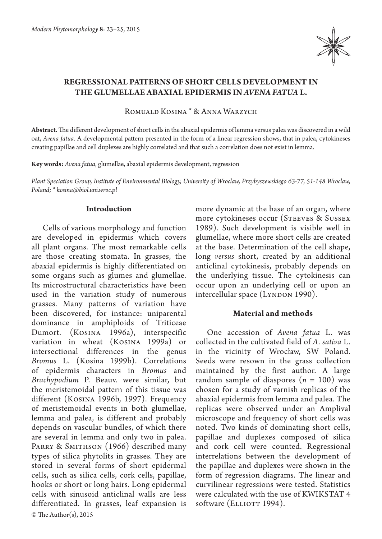

# **Regressional patterns of short cells development in the glumellae abaxial epidermis in** *Avena fatua* **L.**

Romuald Kosina \* & Anna Warzych

**Abstract.** The different development of short cells in the abaxial epidermis of lemma versus palea was discovered in a wild oat, *Avena fatua*. A developmental pattern presented in the form of a linear regression shows, that in palea, cytokineses creating papillae and cell duplexes are highly correlated and that such a correlation does not exist in lemma.

**Key words:** *Avena fatua*, glumellae, abaxial epidermis development, regression

*Plant Speciation Group, Institute of Environmental Biology, University of Wroclaw, Przybyszewskiego 63-77, 51-148 Wroclaw, Poland; \* kosina@biol.uni.wroc.pl*

## **Introduction**

© The Author(s), 2015 Cells of various morphology and function are developed in epidermis which covers all plant organs. The most remarkable cells are those creating stomata. In grasses, the abaxial epidermis is highly differentiated on some organs such as glumes and glumellae. Its microstructural characteristics have been used in the variation study of numerous grasses. Many patterns of variation have been discovered, for instance: uniparental dominance in amphiploids of Triticeae Dumort. (Kosina 1996a), interspecific variation in wheat (Kosina 1999a) or intersectional differences in the genus *Bromus* L. (Kosina 1999b). Correlations of epidermis characters in *Bromus* and *Brachypodium* P. Beauv. were similar, but the meristemoidal pattern of this tissue was different (Kosina 1996b, 1997). Frequency of meristemoidal events in both glumellae, lemma and palea, is different and probably depends on vascular bundles, of which there are several in lemma and only two in palea. PARRY & SMITHSON (1966) described many types of silica phytolits in grasses. They are stored in several forms of short epidermal cells, such as silica cells, cork cells, papillae, hooks or short or long hairs. Long epidermal cells with sinusoid anticlinal walls are less differentiated. In grasses, leaf expansion is more dynamic at the base of an organ, where more cytokineses occur (Steeves & Sussex 1989). Such development is visible well in glumellae, where more short cells are created at the base. Determination of the cell shape, long *versus* short, created by an additional anticlinal cytokinesis, probably depends on the underlying tissue. The cytokinesis can occur upon an underlying cell or upon an intercellular space (Lyndon 1990).

# **Material and methods**

One accession of *Avena fatua* L. was collected in the cultivated field of *A. sativa* L. in the vicinity of Wrocław, SW Poland. Seeds were resown in the grass collection maintained by the first author. A large random sample of diaspores  $(n = 100)$  was chosen for a study of varnish replicas of the abaxial epidermis from lemma and palea. The replicas were observed under an Amplival microscope and frequency of short cells was noted. Two kinds of dominating short cells, papillae and duplexes composed of silica and cork cell were counted. Regressional interrelations between the development of the papillae and duplexes were shown in the form of regression diagrams. The linear and curvilinear regressions were tested. Statistics were calculated with the use of KWIKSTAT 4 software (ELLIOTT 1994).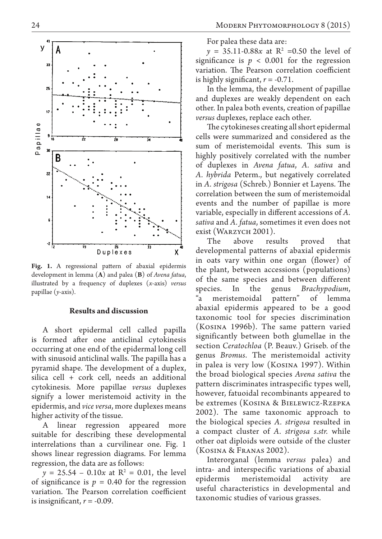

**Fig. 1.** A regressional pattern of abaxial epidermis development in lemma (**A**) and palea (**B**) of *Avena fatua*, illustrated by a frequency of duplexes (*x*-axis) *versus* papillae (*y*-axis).

## **Results and discussion**

A short epidermal cell called papilla is formed after one anticlinal cytokinesis occurring at one end of the epidermal long cell with sinusoid anticlinal walls. The papilla has a pyramid shape. The development of a duplex, silica cell + cork cell, needs an additional cytokinesis. More papillae *versus* duplexes signify a lower meristemoid activity in the epidermis, and *vice versa*, more duplexes means higher activity of the tissue.

A linear regression appeared more suitable for describing these developmental interrelations than a curvilinear one. Fig. 1 shows linear regression diagrams. For lemma regression, the data are as follows:

 $y = 25.54 - 0.10x$  at  $R^2 = 0.01$ , the level of significance is  $p = 0.40$  for the regression variation. The Pearson correlation coefficient is insignificant,  $r = -0.09$ .

For palea these data are:

 $y = 35.11 - 0.88x$  at  $R^2 = 0.50$  the level of significance is  $p < 0.001$  for the regression variation. The Pearson correlation coefficient is highly significant,  $r = -0.71$ .

In the lemma, the development of papillae and duplexes are weakly dependent on each other. In palea both events, creation of papillae *versus* duplexes, replace each other.

The cytokineses creating all short epidermal cells were summarized and considered as the sum of meristemoidal events. This sum is highly positively correlated with the number of duplexes in *Avena fatua*, *A. sativa* and *A. hybrida*  Peterm., but negatively correlated in *A. strigosa* (Schreb.) Bonnier et Layens. The correlation between the sum of meristemoidal events and the number of papillae is more variable, especially in different accessions of *A. sativa* and *A. fatua*, sometimes it even does not exist (WARZYCH 2001).

The above results proved that developmental patterns of abaxial epidermis in oats vary within one organ (flower) of the plant, between accessions (populations) of the same species and between different species. In the genus *Brachypodium*, "a meristemoidal pattern" of lemma abaxial epidermis appeared to be a good taxonomic tool for species discrimination (Kosina 1996b). The same pattern varied significantly between both glumellae in the section *Ceratochloa* (P. Beauv.) Griseb. of the genus *Bromus*. The meristemoidal activity in palea is very low (Kosina 1997). Within the broad biological species *Avena sativa* the pattern discriminates intraspecific types well, however, fatuoidal recombinants appeared to be extremes (Kosina & Bielewicz-Rzepka 2002). The same taxonomic approach to the biological species *A. strigosa* resulted in a compact cluster of *A. strigosa s.str.* while other oat diploids were outside of the cluster (Kosina & Franas 2002).

Interorganal (lemma *versus* palea) and intra- and interspecific variations of abaxial epidermis meristemoidal activity are useful characteristics in developmental and taxonomic studies of various grasses.